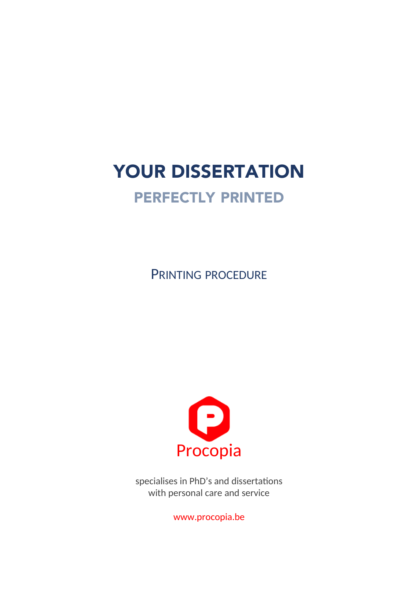# YOUR DISSERTATION

## PERFECTLY PRINTED

PRINTING PROCEDURE



specialises in PhD's and dissertations with personal care and service

www.procopia.be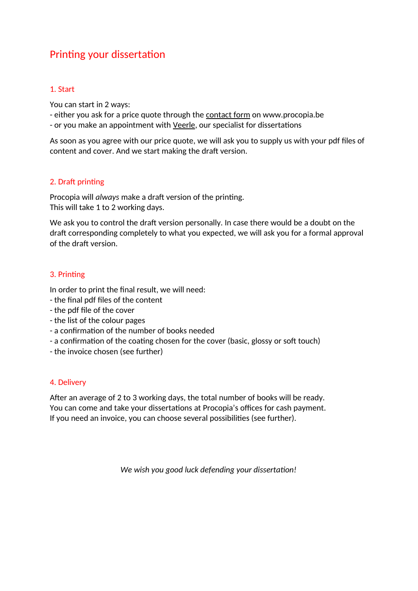### Printing your dissertation

#### 1. Start

You can start in 2 ways:

- either you ask for a price quote through the contact form on www.procopia.be
- or you make an appointment with Veerle, our specialist for dissertations

As soon as you agree with our price quote, we will ask you to supply us with your pdf files of content and cover. And we start making the draft version.

#### 2. Draft printing

Procopia will *always* make a draft version of the printing. This will take 1 to 2 working days.

We ask you to control the draft version personally. In case there would be a doubt on the draft corresponding completely to what you expected, we will ask you for a formal approval of the draft version.

#### 3. Printing

In order to print the final result, we will need:

- the final pdf files of the content
- the pdf file of the cover
- the list of the colour pages
- a confirmation of the number of books needed
- a confirmation of the coating chosen for the cover (basic, glossy or soft touch)
- the invoice chosen (see further)

#### 4. Delivery

After an average of 2 to 3 working days, the total number of books will be ready. You can come and take your dissertations at Procopia's offices for cash payment. If you need an invoice, you can choose several possibilities (see further).

*We wish you good luck defending your dissertation!*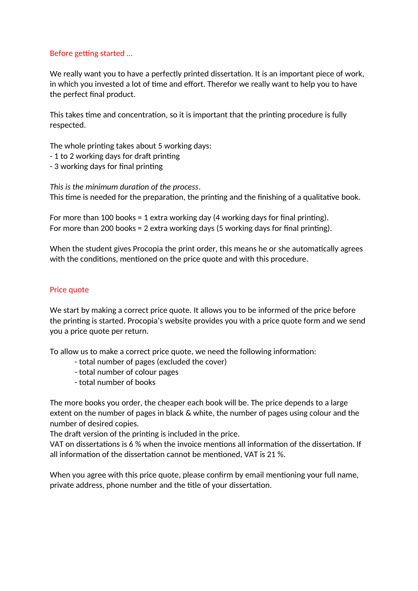#### Before getting started …

We really want you to have a perfectly printed dissertation. It is an important piece of work, in which you invested a lot of time and effort. Therefor we really want to help you to have the perfect final product.

This takes time and concentration, so it is important that the printing procedure is fully respected.

The whole printing takes about 5 working days:

- 1 to 2 working days for draft printing
- 3 working days for final printing

*This is the minimum duration of the process*. This time is needed for the preparation, the printing and the finishing of a qualitative book.

```
For more than 100 books = 1 extra working day (4 working days for final printing).
For more than 200 books = 2 extra working days (5 working days for final printing).
```
When the student gives Procopia the print order, this means he or she automatically agrees with the conditions, mentioned on the price quote and with this procedure.

#### Price quote

We start by making a correct price quote. It allows you to be informed of the price before the printing is started. Procopia's website provides you with a price quote form and we send you a price quote per return.

To allow us to make a correct price quote, we need the following information:

- total number of pages (excluded the cover)
- total number of colour pages
- total number of books

The more books you order, the cheaper each book will be. The price depends to a large extent on the number of pages in black & white, the number of pages using colour and the number of desired copies.

The draft version of the printing is included in the price.

VAT on dissertations is 6 % when the invoice mentions all information of the dissertation. If all information of the dissertation cannot be mentioned, VAT is 21 %.

When you agree with this price quote, please confirm by email mentioning your full name, private address, phone number and the title of your dissertation.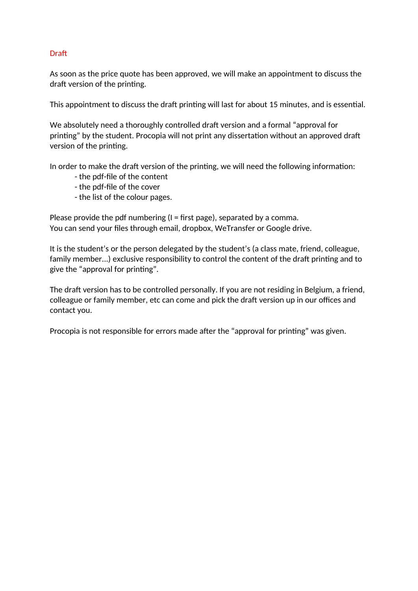#### **Draft**

As soon as the price quote has been approved, we will make an appointment to discuss the draft version of the printing.

This appointment to discuss the draft printing will last for about 15 minutes, and is essential.

We absolutely need a thoroughly controlled draft version and a formal "approval for printing" by the student. Procopia will not print any dissertation without an approved draft version of the printing.

In order to make the draft version of the printing, we will need the following information:

- the pdf-file of the content
- the pdf-file of the cover
- the list of the colour pages.

Please provide the pdf numbering  $(I = first \text{ page})$ , separated by a comma. You can send your files through email, dropbox, WeTransfer or Google drive.

It is the student's or the person delegated by the student's (a class mate, friend, colleague, family member...) exclusive responsibility to control the content of the draft printing and to give the "approval for printing".

The draft version has to be controlled personally. If you are not residing in Belgium, a friend, colleague or family member, etc can come and pick the draft version up in our offices and contact you.

Procopia is not responsible for errors made after the "approval for printing" was given.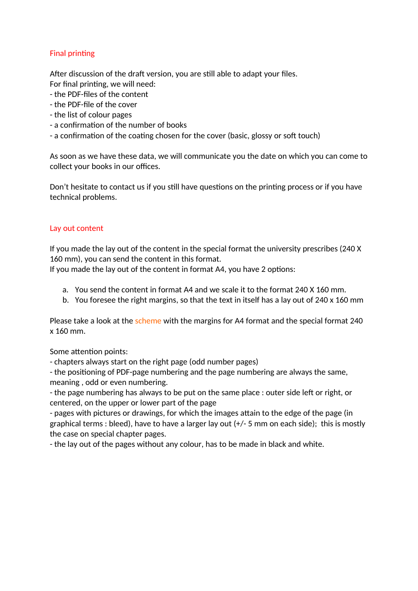#### Final printing

After discussion of the draft version, you are still able to adapt your files.

- For final printing, we will need:
- the PDF-files of the content
- the PDF-file of the cover
- the list of colour pages
- a confirmation of the number of books
- a confirmation of the coating chosen for the cover (basic, glossy or soft touch)

As soon as we have these data, we will communicate you the date on which you can come to collect your books in our offices.

Don't hesitate to contact us if you still have questions on the printing process or if you have technical problems.

#### Lay out content

If you made the lay out of the content in the special format the university prescribes (240 X 160 mm), you can send the content in this format.

If you made the lay out of the content in format A4, you have 2 options:

- a. You send the content in format A4 and we scale it to the format 240 X 160 mm.
- b. You foresee the right margins, so that the text in itself has a lay out of 240 x 160 mm

Please take a look at the scheme with the margins for A4 format and the special format 240 x 160 mm.

Some attention points:

- chapters always start on the right page (odd number pages)

- the positioning of PDF-page numbering and the page numbering are always the same, meaning , odd or even numbering.

- the page numbering has always to be put on the same place : outer side left or right, or centered, on the upper or lower part of the page

- pages with pictures or drawings, for which the images attain to the edge of the page (in graphical terms : bleed), have to have a larger lay out (+/- 5 mm on each side); this is mostly the case on special chapter pages.

- the lay out of the pages without any colour, has to be made in black and white.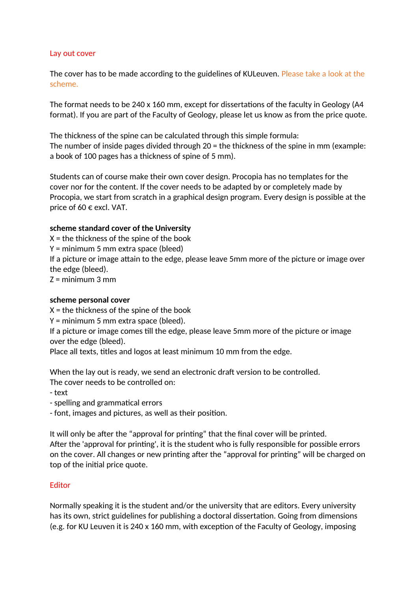#### Lay out cover

The cover has to be made according to the guidelines of KULeuven. Please take a look at the scheme.

The format needs to be 240 x 160 mm, except for dissertations of the faculty in Geology (A4 format). If you are part of the Faculty of Geology, please let us know as from the price quote.

The thickness of the spine can be calculated through this simple formula: The number of inside pages divided through 20 = the thickness of the spine in mm (example: a book of 100 pages has a thickness of spine of 5 mm).

Students can of course make their own cover design. Procopia has no templates for the cover nor for the content. If the cover needs to be adapted by or completely made by Procopia, we start from scratch in a graphical design program. Every design is possible at the price of 60  $\epsilon$  excl. VAT.

#### **scheme standard cover of the University**

 $X =$  the thickness of the spine of the book Y = minimum 5 mm extra space (bleed) If a picture or image attain to the edge, please leave 5mm more of the picture or image over the edge (bleed).  $Z =$  minimum 3 mm

#### **scheme personal cover**

 $X =$  the thickness of the spine of the book

Y = minimum 5 mm extra space (bleed).

If a picture or image comes till the edge, please leave 5mm more of the picture or image over the edge (bleed).

Place all texts, titles and logos at least minimum 10 mm from the edge.

When the lay out is ready, we send an electronic draft version to be controlled.

The cover needs to be controlled on:

- text

- spelling and grammatical errors

- font, images and pictures, as well as their position.

It will only be after the "approval for printing" that the final cover will be printed. After the 'approval for printing', it is the student who is fully responsible for possible errors on the cover. All changes or new printing after the "approval for printing" will be charged on top of the initial price quote.

#### Editor

Normally speaking it is the student and/or the university that are editors. Every university has its own, strict guidelines for publishing a doctoral dissertation. Going from dimensions (e.g. for KU Leuven it is 240 x 160 mm, with exception of the Faculty of Geology, imposing